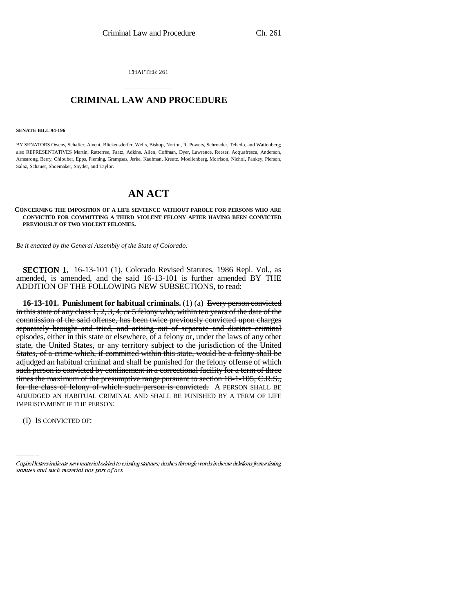CHAPTER 261

## \_\_\_\_\_\_\_\_\_\_\_\_\_\_\_ **CRIMINAL LAW AND PROCEDURE** \_\_\_\_\_\_\_\_\_\_\_\_\_\_\_

## **SENATE BILL 94-196**

BY SENATORS Owens, Schaffer, Ament, Blickensderfer, Wells, Bishop, Norton, R. Powers, Schroeder, Tebedo, and Wattenberg; also REPRESENTATIVES Martin, Ratterree, Faatz, Adkins, Allen, Coffman, Dyer, Lawrence, Reeser, Acquafresca, Anderson, Armstrong, Berry, Chlouber, Epps, Fleming, Grampsas, Jerke, Kaufman, Kreutz, Moellenberg, Morrison, Nichol, Pankey, Pierson, Salaz, Schauer, Shoemaker, Snyder, and Taylor.

## **AN ACT**

## **CONCERNING THE IMPOSITION OF A LIFE SENTENCE WITHOUT PAROLE FOR PERSONS WHO ARE CONVICTED FOR COMMITTING A THIRD VIOLENT FELONY AFTER HAVING BEEN CONVICTED PREVIOUSLY OF TWO VIOLENT FELONIES.**

*Be it enacted by the General Assembly of the State of Colorado:*

**SECTION 1.** 16-13-101 (1), Colorado Revised Statutes, 1986 Repl. Vol., as amended, is amended, and the said 16-13-101 is further amended BY THE ADDITION OF THE FOLLOWING NEW SUBSECTIONS, to read:

ADJUDGED AN HABITUAL CRIMINAL AND SHALL BE PUNISHED BY A TERM OF LIFE **16-13-101. Punishment for habitual criminals.** (1) (a) Every person convicted in this state of any class 1, 2, 3, 4, or 5 felony who, within ten years of the date of the commission of the said offense, has been twice previously convicted upon charges separately brought and tried, and arising out of separate and distinct criminal episodes, either in this state or elsewhere, of a felony or, under the laws of any other state, the United States, or any territory subject to the jurisdiction of the United States, of a crime which, if committed within this state, would be a felony shall be adjudged an habitual criminal and shall be punished for the felony offense of which such person is convicted by confinement in a correctional facility for a term of three times the maximum of the presumptive range pursuant to section 18-1-105, C.R.S., for the class of felony of which such person is convicted. A PERSON SHALL BE IMPRISONMENT IF THE PERSON:

(I) IS CONVICTED OF:

Capital letters indicate new material added to existing statutes; dashes through words indicate deletions from existing statutes and such material not part of act.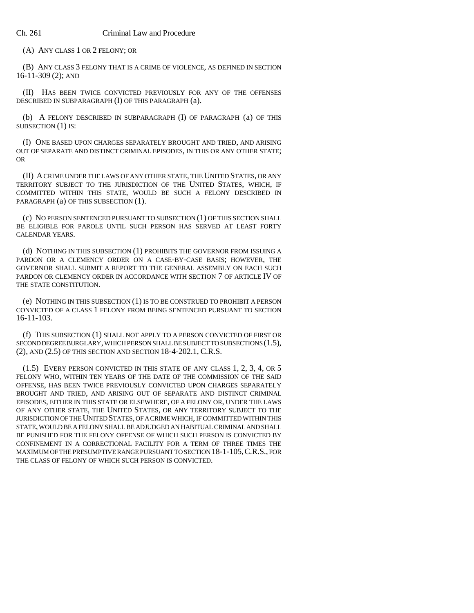(A) ANY CLASS 1 OR 2 FELONY; OR

(B) ANY CLASS 3 FELONY THAT IS A CRIME OF VIOLENCE, AS DEFINED IN SECTION 16-11-309 (2); AND

(II) HAS BEEN TWICE CONVICTED PREVIOUSLY FOR ANY OF THE OFFENSES DESCRIBED IN SUBPARAGRAPH (I) OF THIS PARAGRAPH (a).

(b) A FELONY DESCRIBED IN SUBPARAGRAPH (I) OF PARAGRAPH (a) OF THIS SUBSECTION (1) IS:

(I) ONE BASED UPON CHARGES SEPARATELY BROUGHT AND TRIED, AND ARISING OUT OF SEPARATE AND DISTINCT CRIMINAL EPISODES, IN THIS OR ANY OTHER STATE; OR

(II) A CRIME UNDER THE LAWS OF ANY OTHER STATE, THE UNITED STATES, OR ANY TERRITORY SUBJECT TO THE JURISDICTION OF THE UNITED STATES, WHICH, IF COMMITTED WITHIN THIS STATE, WOULD BE SUCH A FELONY DESCRIBED IN PARAGRAPH (a) OF THIS SUBSECTION (1).

(c) NO PERSON SENTENCED PURSUANT TO SUBSECTION (1) OF THIS SECTION SHALL BE ELIGIBLE FOR PAROLE UNTIL SUCH PERSON HAS SERVED AT LEAST FORTY CALENDAR YEARS.

(d) NOTHING IN THIS SUBSECTION (1) PROHIBITS THE GOVERNOR FROM ISSUING A PARDON OR A CLEMENCY ORDER ON A CASE-BY-CASE BASIS; HOWEVER, THE GOVERNOR SHALL SUBMIT A REPORT TO THE GENERAL ASSEMBLY ON EACH SUCH PARDON OR CLEMENCY ORDER IN ACCORDANCE WITH SECTION 7 OF ARTICLE IV OF THE STATE CONSTITUTION.

(e) NOTHING IN THIS SUBSECTION (1) IS TO BE CONSTRUED TO PROHIBIT A PERSON CONVICTED OF A CLASS 1 FELONY FROM BEING SENTENCED PURSUANT TO SECTION 16-11-103.

(f) THIS SUBSECTION (1) SHALL NOT APPLY TO A PERSON CONVICTED OF FIRST OR SECOND DEGREE BURGLARY, WHICH PERSON SHALL BE SUBJECT TO SUBSECTIONS (1.5), (2), AND (2.5) OF THIS SECTION AND SECTION 18-4-202.1, C.R.S.

(1.5) EVERY PERSON CONVICTED IN THIS STATE OF ANY CLASS 1, 2, 3, 4, OR 5 FELONY WHO, WITHIN TEN YEARS OF THE DATE OF THE COMMISSION OF THE SAID OFFENSE, HAS BEEN TWICE PREVIOUSLY CONVICTED UPON CHARGES SEPARATELY BROUGHT AND TRIED, AND ARISING OUT OF SEPARATE AND DISTINCT CRIMINAL EPISODES, EITHER IN THIS STATE OR ELSEWHERE, OF A FELONY OR, UNDER THE LAWS OF ANY OTHER STATE, THE UNITED STATES, OR ANY TERRITORY SUBJECT TO THE JURISDICTION OF THE UNITED STATES, OF A CRIME WHICH, IF COMMITTED WITHIN THIS STATE, WOULD BE A FELONY SHALL BE ADJUDGED AN HABITUAL CRIMINAL AND SHALL BE PUNISHED FOR THE FELONY OFFENSE OF WHICH SUCH PERSON IS CONVICTED BY CONFINEMENT IN A CORRECTIONAL FACILITY FOR A TERM OF THREE TIMES THE MAXIMUM OF THE PRESUMPTIVE RANGE PURSUANT TO SECTION 18-1-105,C.R.S., FOR THE CLASS OF FELONY OF WHICH SUCH PERSON IS CONVICTED.